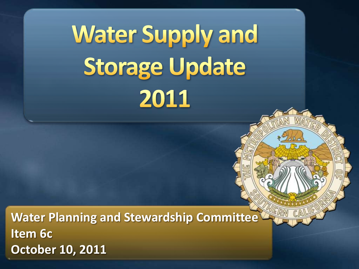**Water Supply and Storage Update** 2011

**Water Planning and Stewardship Committee Item 6c October 10, 2011**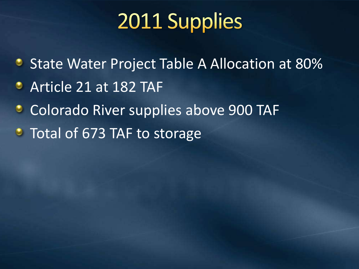## 2011 Supplies

- **State Water Project Table A Allocation at 80%**
- Article 21 at 182 TAF
- Colorado River supplies above 900 TAF ٥
- Total of 673 TAF to storage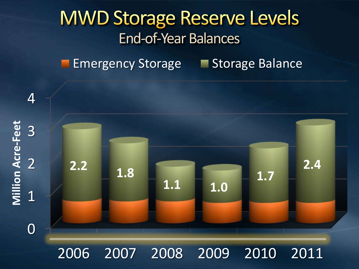#### **MWD Storage Reserve Levels** End-of-Year Balances

Emergency Storage Storage Balance



2006 2007 2008 2009 2010 2011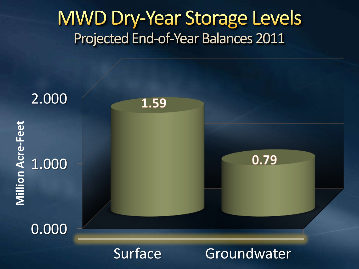#### **MWD Dry-Year Storage Levels** Projected End-of-Year Balances 2011

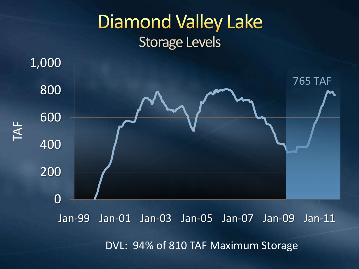### **Diamond Valley Lake** Storage Levels



DVL: 94% of 810 TAF Maximum Storage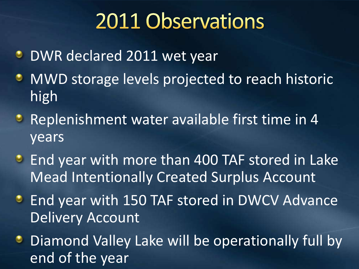## 2011 Observations

- **DWR declared 2011 wet year**
- MWD storage levels projected to reach historic ۰ high
- **Replenishment water available first time in 4** years
- **End year with more than 400 TAF stored in Lake** Mead Intentionally Created Surplus Account
- **End year with 150 TAF stored in DWCV Advance** Delivery Account
- **Diamond Valley Lake will be operationally full by** end of the year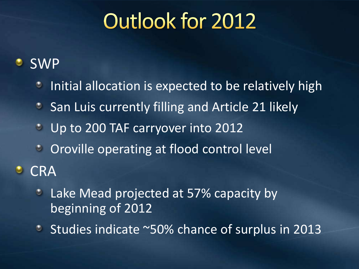# Outlook for 2012

#### SWP ಲ

- Initial allocation is expected to be relatively high O
- San Luis currently filling and Article 21 likely  $\circ$
- $\bullet$ Up to 200 TAF carryover into 2012
- **COLO CONTROVILLE OPERATING AT FLOOD CONTROL LEVEL**
- **CRA**  $\bullet$ 
	- Lake Mead projected at 57% capacity by O beginning of 2012
	- Studies indicate ~50% chance of surplus in 2013 $\bullet$